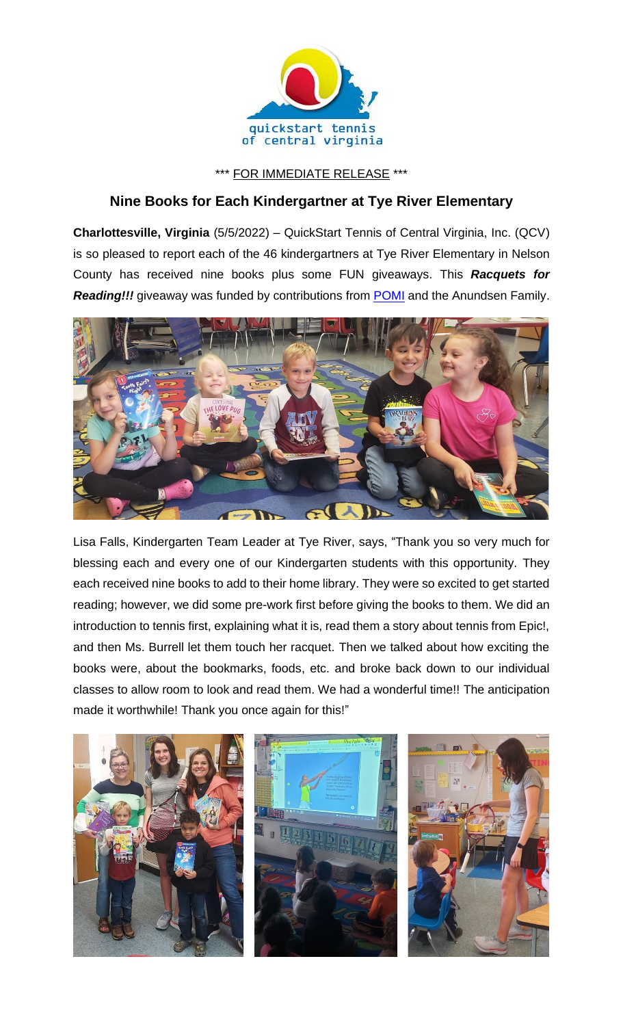

\*\*\* FOR IMMEDIATE RELEASE \*\*\*

## **Nine Books for Each Kindergartner at Tye River Elementary**

**Charlottesville, Virginia** (5/5/2022) – QuickStart Tennis of Central Virginia, Inc. (QCV) is so pleased to report each of the 46 kindergartners at Tye River Elementary in Nelson County has received nine books plus some FUN giveaways. This *Racquets for*  **Reading!!!** giveaway was funded by contributions from **POMI** and the Anundsen Family.



Lisa Falls, Kindergarten Team Leader at Tye River, says, "Thank you so very much for blessing each and every one of our Kindergarten students with this opportunity. They each received nine books to add to their home library. They were so excited to get started reading; however, we did some pre-work first before giving the books to them. We did an introduction to tennis first, explaining what it is, read them a story about tennis from Epic!, and then Ms. Burrell let them touch her racquet. Then we talked about how exciting the books were, about the bookmarks, foods, etc. and broke back down to our individual classes to allow room to look and read them. We had a wonderful time!! The anticipation made it worthwhile! Thank you once again for this!"